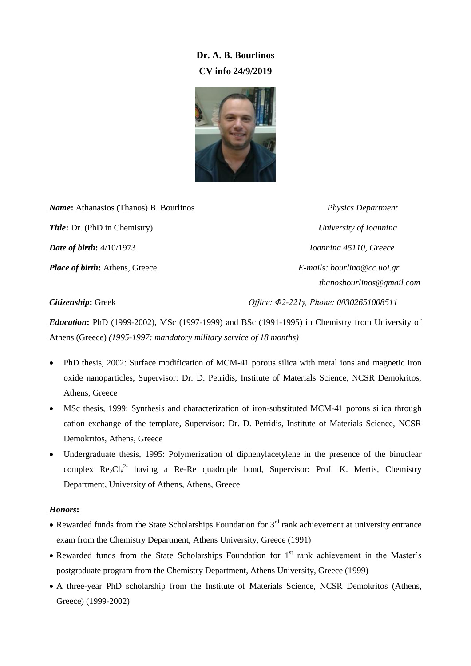# **Dr. A. B. Bourlinos CV info 24/9/2019**



*Name***:** Athanasios (Thanos) B. Bourlinos *Physics Department Title***:** Dr. (PhD in Chemistry) *University of Ioannina Date of birth***:** 4/10/1973 *Ioannina 45110, Greece Place of birth***:** Athens, Greece *E-mails: bourlino@cc.uoi.gr*

 *thanosbourlinos@gmail.com*

*Citizenship***:** Greek *Office: Φ2-221γ, Phone: 00302651008511*

*Education***:** PhD (1999-2002), MSc (1997-1999) and BSc (1991-1995) in Chemistry from University of Athens (Greece) *(1995-1997: mandatory military service of 18 months)*

- PhD thesis, 2002: Surface modification of MCM-41 porous silica with metal ions and magnetic iron oxide nanoparticles, Supervisor: Dr. D. Petridis, Institute of Materials Science, NCSR Demokritos, Athens, Greece
- MSc thesis, 1999: Synthesis and characterization of iron-substituted MCM-41 porous silica through cation exchange of the template, Supervisor: Dr. D. Petridis, Institute of Materials Science, NCSR Demokritos, Athens, Greece
- Undergraduate thesis, 1995: Polymerization of diphenylacetylene in the presence of the binuclear complex  $Re_2Cl_8^{2}$  having a Re-Re quadruple bond, Supervisor: Prof. K. Mertis, Chemistry Department, University of Athens, Athens, Greece

# *Honors***:**

- Rewarded funds from the State Scholarships Foundation for  $3<sup>rd</sup>$  rank achievement at university entrance exam from the Chemistry Department, Athens University, Greece (1991)
- Rewarded funds from the State Scholarships Foundation for  $1<sup>st</sup>$  rank achievement in the Master's postgraduate program from the Chemistry Department, Athens University, Greece (1999)
- A three-year PhD scholarship from the Institute of Materials Science, NCSR Demokritos (Athens, Greece) (1999-2002)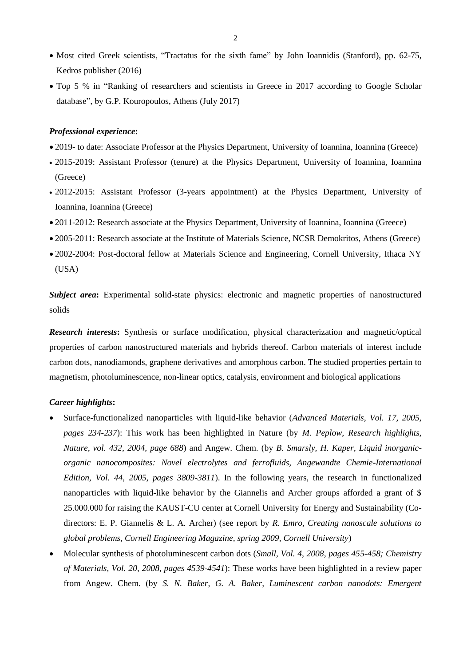- Most cited Greek scientists, "Tractatus for the sixth fame" by John Ioannidis (Stanford), pp. 62-75, Kedros publisher (2016)
- Top 5 % in "Ranking of researchers and scientists in Greece in 2017 according to Google Scholar database", by G.P. Kouropoulos, Athens (July 2017)

#### *Professional experience***:**

- 2019- to date: Associate Professor at the Physics Department, University of Ioannina, Ioannina (Greece)
- 2015-2019: Assistant Professor (tenure) at the Physics Department, University of Ioannina, Ioannina (Greece)
- 2012-2015: Assistant Professor (3-years appointment) at the Physics Department, University of Ioannina, Ioannina (Greece)
- 2011-2012: Research associate at the Physics Department, University of Ioannina, Ioannina (Greece)
- 2005-2011: Research associate at the Institute of Materials Science, NCSR Demokritos, Athens (Greece)
- 2002-2004: Post-doctoral fellow at Materials Science and Engineering, Cornell University, Ithaca NY (USA)

*Subject area***:** Experimental solid-state physics: electronic and magnetic properties of nanostructured solids

*Research interests***:** Synthesis or surface modification, physical characterization and magnetic/optical properties of carbon nanostructured materials and hybrids thereof. Carbon materials of interest include carbon dots, nanodiamonds, graphene derivatives and amorphous carbon. The studied properties pertain to magnetism, photoluminescence, non-linear optics, catalysis, environment and biological applications

# *Career highlights***:**

- Surface-functionalized nanoparticles with liquid-like behavior (*Advanced Materials, Vol. 17, 2005, pages 234-237*): This work has been highlighted in Nature (by *M. Peplow, Research highlights, Nature, vol. 432, 2004, page 688*) and Angew. Chem. (by *B. Smarsly, H. Kaper, Liquid inorganicorganic nanocomposites: Novel electrolytes and ferrofluids, Angewandte Chemie-International Edition, Vol. 44, 2005, pages 3809-3811*). In the following years, the research in functionalized nanoparticles with liquid-like behavior by the Giannelis and Archer groups afforded a grant of \$ 25.000.000 for raising the KAUST-CU center at Cornell University for Energy and Sustainability (Codirectors: E. P. Giannelis & L. A. Archer) (see report by *R. Emro, Creating nanoscale solutions to global problems, Cornell Engineering Magazine, spring 2009, Cornell University*)
- Molecular synthesis of photoluminescent carbon dots (*Small, Vol. 4, 2008, pages 455-458; Chemistry of Materials, Vol. 20, 2008, pages 4539-4541*): These works have been highlighted in a review paper from Angew. Chem. (by *S. N. Baker, G. A. Baker, Luminescent carbon nanodots: Emergent*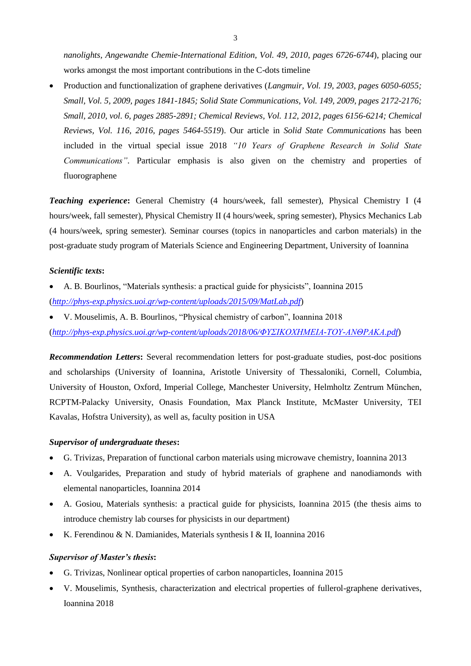*nanolights, Angewandte Chemie-International Edition, Vol. 49, 2010, pages 6726-6744*), placing our works amongst the most important contributions in the C-dots timeline

 Production and functionalization of graphene derivatives (*Langmuir, Vol. 19, 2003, pages 6050-6055; Small, Vol. 5, 2009, pages 1841-1845; Solid State Communications, Vol. 149, 2009, pages 2172-2176; Small, 2010, vol. 6, pages 2885-2891; Chemical Reviews, Vol. 112, 2012, pages 6156-6214; Chemical Reviews, Vol. 116, 2016, pages 5464-5519*). Our article in *Solid State Communications* has been included in the virtual special issue 2018 *"10 Years of Graphene Research in Solid State Communications"*. Particular emphasis is also given on the chemistry and properties of fluorographene

*Teaching experience***:** General Chemistry (4 hours/week, fall semester), Physical Chemistry I (4 hours/week, fall semester), Physical Chemistry II (4 hours/week, spring semester), Physics Mechanics Lab (4 hours/week, spring semester). Seminar courses (topics in nanoparticles and carbon materials) in the post-graduate study program of Materials Science and Engineering Department, University of Ioannina

# *Scientific texts***:**

- A. B. Bourlinos, "Materials synthesis: a practical guide for physicists", Ioannina 2015 (*<http://phys-exp.physics.uoi.gr/wp-content/uploads/2015/09/MatLab.pdf>*)
- V. Mouselimis, A. B. Bourlinos, "Physical chemistry of carbon", Ioannina 2018 (*[http://phys-exp.physics.uoi.gr/wp-content/uploads/2018/06/ΦΥΣΙΚΟΦΗΜΕΙΑ-ΤΟΥ-ΑΝΘΡΑΚΑ.pdf](http://phys-exp.physics.uoi.gr/wp-content/uploads/2018/06/������������-���-�������.pdf)*)

*Recommendation Letters***:** Several recommendation letters for post-graduate studies, post-doc positions and scholarships (University of Ioannina, Aristotle University of Thessaloniki, Cornell, Columbia, University of Houston, Oxford, Imperial College, Manchester University, Helmholtz Zentrum München, RCPTM-Palacky University, Onasis Foundation, Max Planck Institute, McMaster University, TEI Kavalas, Hofstra University), as well as, faculty position in USA

#### *Supervisor of undergraduate theses***:**

- G. Trivizas, Preparation of functional carbon materials using microwave chemistry, Ioannina 2013
- A. Voulgarides, Preparation and study of hybrid materials of graphene and nanodiamonds with elemental nanoparticles, Ioannina 2014
- A. Gosiou, Materials synthesis: a practical guide for physicists, Ioannina 2015 (the thesis aims to introduce chemistry lab courses for physicists in our department)
- K. Ferendinou & N. Damianides, Materials synthesis I & II, Ioannina 2016

#### *Supervisor of Master's thesis***:**

- G. Trivizas, Nonlinear optical properties of carbon nanoparticles, Ioannina 2015
- V. Mouselimis, Synthesis, characterization and electrical properties of fullerol-graphene derivatives, Ioannina 2018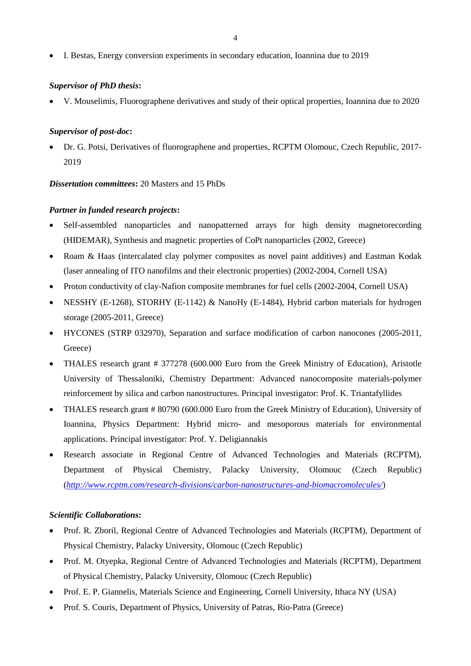I. Bestas, Energy conversion experiments in secondary education, Ioannina due to 2019

# *Supervisor of PhD thesis***:**

V. Mouselimis, Fluorographene derivatives and study of their optical properties, Ioannina due to 2020

#### *Supervisor of post-doc***:**

 Dr. G. Potsi, Derivatives of fluorographene and properties, RCPTM Olomouc, Czech Republic, 2017- 2019

*Dissertation committees***:** 20 Masters and 15 PhDs

#### *Partner in funded research projects***:**

- Self-assembled nanoparticles and nanopatterned arrays for high density magnetorecording (HIDEMAR), Synthesis and magnetic properties of CoPt nanoparticles (2002, Greece)
- Roam & Haas (intercalated clay polymer composites as novel paint additives) and Eastman Kodak (laser annealing of ITO nanofilms and their electronic properties) (2002-2004, Cornell USA)
- Proton conductivity of clay-Nafion composite membranes for fuel cells (2002-2004, Cornell USA)
- NESSHY (E-1268), STORHY (E-1142) & NanoHy (E-1484), Hybrid carbon materials for hydrogen storage (2005-2011, Greece)
- HYCONES (STRP 032970), Separation and surface modification of carbon nanocones (2005-2011, Greece)
- THALES research grant # 377278 (600.000 Euro from the Greek Ministry of Education), Aristotle University of Thessaloniki, Chemistry Department: Advanced nanocomposite materials-polymer reinforcement by silica and carbon nanostructures. Principal investigator: Prof. K. Triantafyllides
- THALES research grant # 80790 (600.000 Euro from the Greek Ministry of Education), University of Ioannina, Physics Department: Hybrid micro- and mesoporous materials for environmental applications. Principal investigator: Prof. Y. Deligiannakis
- Research associate in Regional Centre of Advanced Technologies and Materials (RCPTM), Department of Physical Chemistry, Palacky University, Olomouc (Czech Republic) (*<http://www.rcptm.com/research-divisions/carbon-nanostructures-and-biomacromolecules/>*)

#### *Scientific Collaborations***:**

- Prof. R. Zboril, Regional Centre of Advanced Technologies and Materials (RCPTM), Department of Physical Chemistry, Palacky University, Olomouc (Czech Republic)
- Prof. M. Otyepka, Regional Centre of Advanced Technologies and Materials (RCPTM), Department of Physical Chemistry, Palacky University, Olomouc (Czech Republic)
- Prof. E. P. Giannelis, Materials Science and Engineering, Cornell University, Ithaca NY (USA)
- Prof. S. Couris, Department of Physics, University of Patras, Rio-Patra (Greece)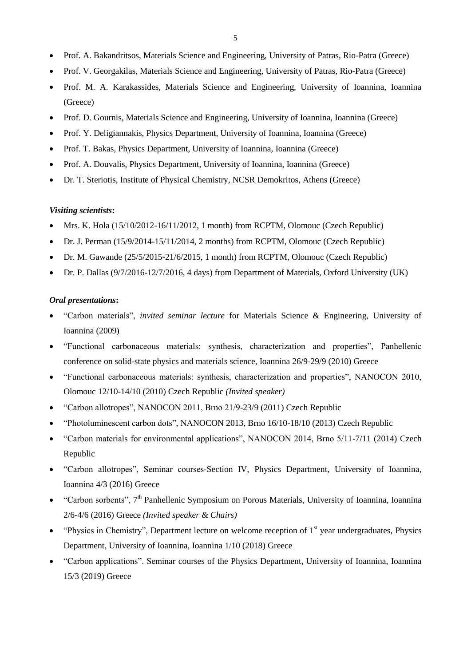- Prof. A. Bakandritsos, Materials Science and Engineering, University of Patras, Rio-Patra (Greece)
- Prof. V. Georgakilas, Materials Science and Engineering, University of Patras, Rio-Patra (Greece)
- Prof. M. A. Karakassides, Materials Science and Engineering, University of Ioannina, Ioannina (Greece)
- Prof. D. Gournis, Materials Science and Engineering, University of Ioannina, Ioannina (Greece)
- Prof. Y. Deligiannakis, Physics Department, University of Ioannina, Ioannina (Greece)
- Prof. T. Bakas, Physics Department, University of Ioannina, Ioannina (Greece)
- Prof. A. Douvalis, Physics Department, University of Ioannina, Ioannina (Greece)
- Dr. T. Steriotis, Institute of Physical Chemistry, NCSR Demokritos, Athens (Greece)

#### *Visiting scientists***:**

- Mrs. K. Hola (15/10/2012-16/11/2012, 1 month) from RCPTM, Olomouc (Czech Republic)
- Dr. J. Perman (15/9/2014-15/11/2014, 2 months) from RCPTM, Olomouc (Czech Republic)
- Dr. M. Gawande (25/5/2015-21/6/2015, 1 month) from RCPTM, Olomouc (Czech Republic)
- Dr. P. Dallas (9/7/2016-12/7/2016, 4 days) from Department of Materials, Oxford University (UK)

# *Oral presentations***:**

- "Carbon materials", *invited seminar lecture* for Materials Science & Engineering, University of Ioannina (2009)
- "Functional carbonaceous materials: synthesis, characterization and properties", Panhellenic conference on solid-state physics and materials science, Ioannina 26/9-29/9 (2010) Greece
- "Functional carbonaceous materials: synthesis, characterization and properties", NANOCON 2010, Olomouc 12/10-14/10 (2010) Czech Republic *(Invited speaker)*
- "Carbon allotropes", NANOCON 2011, Brno 21/9-23/9 (2011) Czech Republic
- "Photoluminescent carbon dots", NANOCON 2013, Brno 16/10-18/10 (2013) Czech Republic
- "Carbon materials for environmental applications", NANOCON 2014, Brno 5/11-7/11 (2014) Czech Republic
- "Carbon allotropes", Seminar courses-Section IV, Physics Department, University of Ioannina, Ioannina 4/3 (2016) Greece
- "Carbon sorbents", 7<sup>th</sup> Panhellenic Symposium on Porous Materials, University of Ioannina, Ioannina 2/6-4/6 (2016) Greece *(Invited speaker & Chairs)*
- $\bullet$  "Physics in Chemistry", Department lecture on welcome reception of  $1<sup>st</sup>$  year undergraduates, Physics Department, University of Ioannina, Ioannina 1/10 (2018) Greece
- "Carbon applications". Seminar courses of the Physics Department, University of Ioannina, Ioannina 15/3 (2019) Greece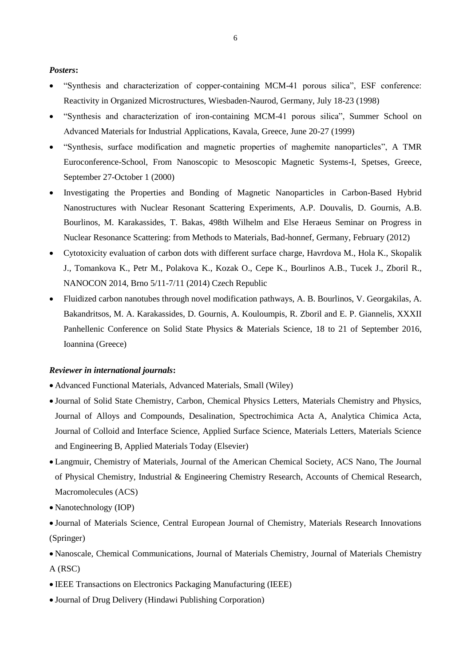# *Posters***:**

- "Synthesis and characterization of copper-containing ΜCM-41 porous silica", ESF conference: Reactivity in Οrganized Μicrostructures, Wiesbaden-Naurod, Germany, July 18-23 (1998)
- "Synthesis and characterization of iron-containing MCM-41 porous silica", Summer School on Αdvanced Materials for Industrial Applications, Kavala, Greece, June 20-27 (1999)
- "Synthesis, surface modification and magnetic properties of maghemite nanoparticles", A TMR Euroconference-School, From Nanoscopic to Mesoscopic Magnetic Systems-I, Spetses, Greece, September 27-October 1 (2000)
- Investigating the Properties and Bonding of Magnetic Nanoparticles in Carbon-Based Hybrid Nanostructures with Nuclear Resonant Scattering Experiments, A.P. Douvalis, D. Gournis, A.B. Bourlinos, M. Karakassides, T. Bakas, 498th Wilhelm and Else Heraeus Seminar on Progress in Nuclear Resonance Scattering: from Methods to Materials, Bad-honnef, Germany, February (2012)
- Cytotoxicity evaluation of carbon dots with different surface charge, Havrdova M., Hola K., Skopalik J., Tomankova K., Petr M., Polakova K., Kozak O., Cepe K., Bourlinos A.B., Tucek J., Zboril R., NANOCON 2014, Brno 5/11-7/11 (2014) Czech Republic
- Fluidized carbon nanotubes through novel modification pathways, A. B. Bourlinos, V. Georgakilas, A. Bakandritsos, M. A. Karakassides, D. Gournis, A. Kouloumpis, R. Zboril and E. P. Giannelis, XXXII Panhellenic Conference on Solid State Physics & Materials Science, 18 to 21 of September 2016, Ioannina (Greece)

#### *Reviewer in international journals***:**

- Advanced Functional Materials, Advanced Materials, Small (Wiley)
- Journal of Solid State Chemistry, Carbon, Chemical Physics Letters, Materials Chemistry and Physics, Journal of Alloys and Compounds, Desalination, Spectrochimica Acta A, Analytica Chimica Acta, Journal of Colloid and Interface Science, Applied Surface Science, Materials Letters, Materials Science and Engineering B, Applied Materials Today (Elsevier)
- Langmuir, Chemistry of Materials, Journal of the American Chemical Society, ACS Nano, The Journal of Physical Chemistry, Industrial & Engineering Chemistry Research, Accounts of Chemical Research, Macromolecules (ACS)
- Nanotechnology (IOP)
- Journal of Materials Science, Central European Journal of Chemistry, Materials Research Innovations (Springer)
- Nanoscale, Chemical Communications, Journal of Materials Chemistry, Journal of Materials Chemistry A (RSC)
- IEEE Transactions on Electronics Packaging Manufacturing (IEEE)
- Journal of Drug Delivery (Hindawi Publishing Corporation)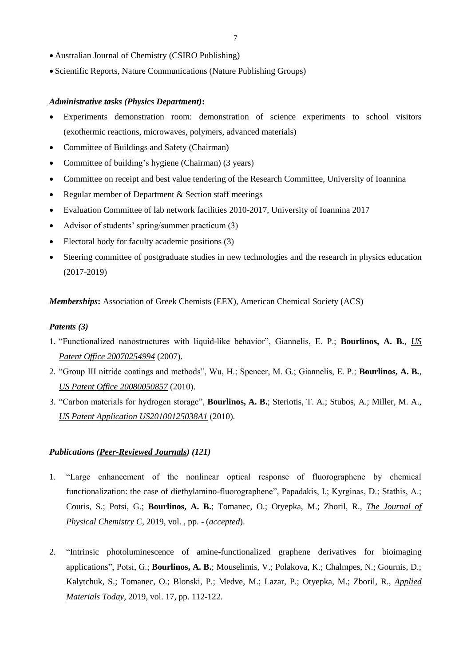- Australian Journal of Chemistry (CSIRO Publishing)
- Scientific Reports, Nature Communications (Nature Publishing Groups)

# *Administrative tasks (Physics Department)***:**

- Experiments demonstration room: demonstration of science experiments to school visitors (exothermic reactions, microwaves, polymers, advanced materials)
- Committee of Buildings and Safety (Chairman)
- Committee of building's hygiene (Chairman) (3 years)
- Committee on receipt and best value tendering of the Research Committee, University of Ioannina
- Regular member of Department & Section staff meetings
- Evaluation Committee of lab network facilities 2010-2017, University of Ioannina 2017
- Advisor of students' spring/summer practicum (3)
- Electoral body for faculty academic positions (3)
- Steering committee of postgraduate studies in new technologies and the research in physics education (2017-2019)

*Memberships***:** Association of Greek Chemists (EEX), American Chemical Society (ACS)

## *Patents (3)*

- 1. "Functionalized nanostructures with liquid-like behavior", Giannelis, E. P.; **Bourlinos, A. B.**, *US Patent Office 20070254994* (2007).
- 2. "Group III nitride coatings and methods", Wu, H.; Spencer, M. G.; Giannelis, E. P.; **Bourlinos, A. B.**, *US Patent Office 20080050857* (2010).
- 3. "Carbon materials for hydrogen storage", **Bourlinos, A. B.**; Steriotis, T. A.; Stubos, A.; Miller, M. A., *US Patent Application US20100125038A1* (2010).

# *Publications (Peer-Reviewed Journals) (121)*

- 1. "Large enhancement of the nonlinear optical response of fluorographene by chemical functionalization: the case of diethylamino-fluorographene", Papadakis, I.; Kyrginas, D.; Stathis, A.; Couris, S.; Potsi, G.; **Bourlinos, A. B.**; Tomanec, O.; Otyepka, M.; Zboril, R., *The Journal of Physical Chemistry C*, 2019, vol. , pp. - (*accepted*).
- 2. "Intrinsic photoluminescence of amine-functionalized graphene derivatives for bioimaging applications", Potsi, G.; **Bourlinos, A. B.**; Mouselimis, V.; Polakova, K.; Chalmpes, N.; Gournis, D.; Kalytchuk, S.; Tomanec, O.; Blonski, P.; Medve, M.; Lazar, P.; Otyepka, M.; Zboril, R., *Applied Materials Today*, 2019, vol. 17, pp. 112-122.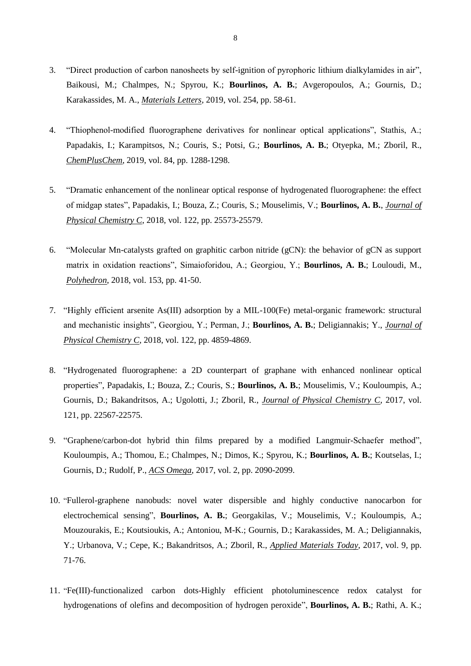- 3. "Direct production of carbon nanosheets by self-ignition of pyrophoric lithium dialkylamides in air", Baikousi, M.; Chalmpes, N.; Spyrou, K.; **Bourlinos, A. B.**; Avgeropoulos, A.; Gournis, D.; Karakassides, M. A., *Materials Letters*, 2019, vol. 254, pp. 58-61.
- 4. "Thiophenol-modified fluorographene derivatives for nonlinear optical applications", Stathis, A.; Papadakis, I.; Karampitsos, N.; Couris, S.; Potsi, G.; **Bourlinos, A. B.**; Otyepka, M.; Zboril, R., *ChemPlusChem*, 2019, vol. 84, pp. 1288-1298.
- 5. "Dramatic enhancement of the nonlinear optical response of hydrogenated fluorographene: the effect of midgap states", Papadakis, I.; Bouza, Z.; Couris, S.; Mouselimis, V.; **Bourlinos, A. B.**, *Journal of Physical Chemistry C*, 2018, vol. 122, pp. 25573-25579.
- 6. "Molecular Mn-catalysts grafted on graphitic carbon nitride (gCN): the behavior of gCN as support matrix in oxidation reactions", Simaioforidou, A.; Georgiou, Y.; **Bourlinos, A. B.**; Louloudi, M., *Polyhedron*, 2018, vol. 153, pp. 41-50.
- 7. "Highly efficient arsenite As(III) adsorption by a MIL-100(Fe) metal-organic framework: structural and mechanistic insights", Georgiou, Y.; Perman, J.; **Bourlinos, A. B.**; Deligiannakis; Y., *Journal of Physical Chemistry C*, 2018, vol. 122, pp. 4859-4869.
- 8. "Hydrogenated fluorographene: a 2D counterpart of graphane with enhanced nonlinear optical properties", Papadakis, I.; Bouza, Z.; Couris, S.; **Bourlinos, A. B.**; Mouselimis, V.; Kouloumpis, A.; Gournis, D.; Bakandritsos, A.; Ugolotti, J.; Zboril, R., *Journal of Physical Chemistry C*, 2017, vol. 121, pp. 22567-22575.
- 9. "Graphene/carbon-dot hybrid thin films prepared by a modified Langmuir-Schaefer method", Kouloumpis, A.; Thomou, E.; Chalmpes, N.; Dimos, K.; Spyrou, K.; **Bourlinos, A. B.**; Koutselas, I.; Gournis, D.; Rudolf, P., *ACS Omega*, 2017, vol. 2, pp. 2090-2099.
- 10. "Fullerol-graphene nanobuds: novel water dispersible and highly conductive nanocarbon for electrochemical sensing", **Bourlinos, A. B.**; Georgakilas, V.; Mouselimis, V.; Kouloumpis, A.; Mouzourakis, E.; Koutsioukis, A.; Antoniou, M-K.; Gournis, D.; Karakassides, M. A.; Deligiannakis, Y.; Urbanova, V.; Cepe, K.; Bakandritsos, A.; Zboril, R., *Applied Materials Today*, 2017, vol. 9, pp. 71-76.
- 11. "Fe(III)-functionalized carbon dots-Highly efficient photoluminescence redox catalyst for hydrogenations of olefins and decomposition of hydrogen peroxide", **Bourlinos, A. B.**; Rathi, A. K.;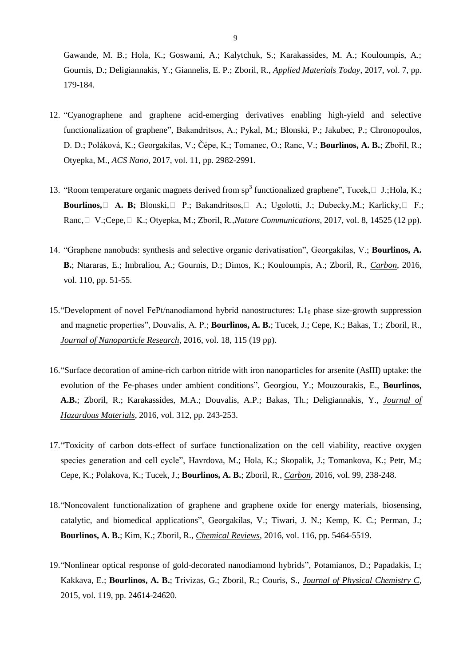Gawande, M. B.; Hola, K.; Goswami, A.; Kalytchuk, S.; Karakassides, M. A.; Kouloumpis, A.; Gournis, D.; Deligiannakis, Y.; Giannelis, E. P.; Zboril, R., *Applied Materials Today*, 2017, vol. 7, pp. 179-184.

- 12. "Cyanographene and graphene acid-emerging derivatives enabling high-yield and selective functionalization of graphene", Bakandritsos, A.; Pykal, M.; Blonski, P.; Jakubec, P.; Chronopoulos, D. D.; Poláková, K.; Georgakilas, V.; Čépe, K.; Tomanec, O.; Ranc, V.; **Bourlinos, A. B.**; Zbořil, R.; Otyepka, M., *ACS Nano*, 2017, vol. 11, pp. 2982-2991.
- 13. "Room temperature organic magnets derived from  $sp^3$  functionalized graphene", Tucek,  $\Box$  J.; Hola, K.; **Bourlinos,**  $\Box$  **A. B.**; Blonski,  $\Box$  P.; Bakandritsos,  $\Box$  A.; Ugolotti, J.; Dubecky, M.; Karlicky,  $\Box$  F.; Ranc,  $\Box$  V.; Cepe,  $\Box$  K.; Otyepka, M.; Zboril, R., *Nature Communications*, 2017, vol. 8, 14525 (12 pp).
- 14. "Graphene nanobuds: synthesis and selective organic derivatisation", Georgakilas, V.; **Bourlinos, A. B.**; Ntararas, E.; Imbraliou, A.; Gournis, D.; Dimos, K.; Kouloumpis, A.; Zboril, R., *Carbon*, 2016, vol. 110, pp. 51-55.
- 15. "Development of novel FePt/nanodiamond hybrid nanostructures:  $L1_0$  phase size-growth suppression and magnetic properties", Douvalis, A. P.; **Bourlinos, A. B.**; Tucek, J.; Cepe, K.; Bakas, T.; Zboril, R., *Journal of Nanoparticle Research*, 2016, vol. 18, 115 (19 pp).
- 16."Surface decoration of amine-rich carbon nitride with iron nanoparticles for arsenite (AsIII) uptake: the evolution of the Fe-phases under ambient conditions", Georgiou, Y.; Mouzourakis, E., **Bourlinos, A.B.**; Zboril, R.; Karakassides, M.A.; Douvalis, A.P.; Bakas, Th.; Deligiannakis, Y., *Journal of Hazardous Materials*, 2016, vol. 312, pp. 243-253.
- 17."Toxicity of carbon dots-effect of surface functionalization on the cell viability, reactive oxygen species generation and cell cycle", Havrdova, M.; Hola, K.; Skopalik, J.; Tomankova, K.; Petr, M.; Cepe, K.; Polakova, K.; Tucek, J.; **Bourlinos, A. B.**; Zboril, R., *Carbon*, 2016, vol. 99, 238-248.
- 18."Noncovalent functionalization of graphene and graphene oxide for energy materials, biosensing, catalytic, and biomedical applications", Georgakilas, V.; Tiwari, J. N.; Kemp, K. C.; Perman, J.; **Bourlinos, A. B.**; Kim, K.; Zboril, R., *Chemical Reviews*, 2016, vol. 116, pp. 5464-5519.
- 19."Nonlinear optical response of gold-decorated nanodiamond hybrids", Potamianos, D.; Papadakis, I.; Kakkava, E.; **Bourlinos, A. B.**; Trivizas, G.; Zboril, R.; Couris, S., *Journal of Physical Chemistry C*, 2015, vol. 119, pp. 24614-24620.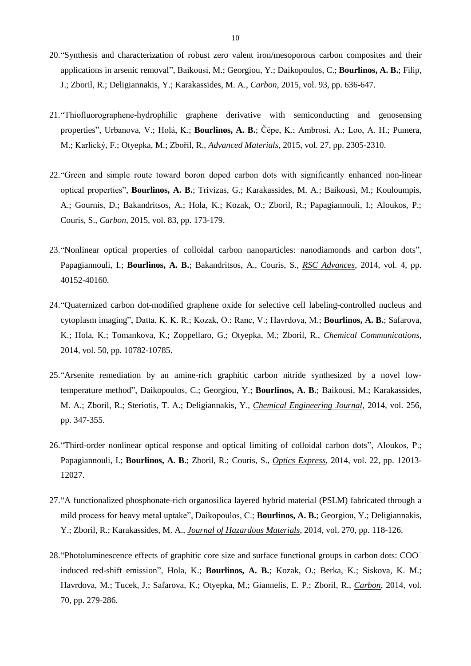- 20."Synthesis and characterization of robust zero valent iron/mesoporous carbon composites and their applications in arsenic removal", Baikousi, M.; Georgiou, Y.; Daikopoulos, C.; **Bourlinos, A. B.**; Filip, J.; Zboril, R.; Deligiannakis, Y.; Karakassides, M. A., *Carbon*, 2015, vol. 93, pp. 636-647.
- 21."Thiofluorographene-hydrophilic graphene derivative with semiconducting and genosensing properties", Urbanova, V.; Holá, K.; **Bourlinos, A. B.**; Čépe, K.; Ambrosi, A.; Loo, A. H.; Pumera, M.; Karlický, F.; Otyepka, M.; Zbořil, R., *Advanced Materials*, 2015, vol. 27, pp. 2305-2310.
- 22."Green and simple route toward boron doped carbon dots with significantly enhanced non-linear optical properties", **Bourlinos, A. B.**; Trivizas, G.; Karakassides, M. A.; Baikousi, M.; Kouloumpis, A.; Gournis, D.; Bakandritsos, A.; Hola, K.; Kozak, O.; Zboril, R.; Papagiannouli, I.; Aloukos, P.; Couris, S., *Carbon*, 2015, vol. 83, pp. 173-179.
- 23."Nonlinear optical properties of colloidal carbon nanoparticles: nanodiamonds and carbon dots", Papagiannouli, I.; **Bourlinos, A. B.**; Bakandritsos, A., Couris, S., *RSC Advances*, 2014, vol. 4, pp. 40152-40160.
- 24."Quaternized carbon dot-modified graphene oxide for selective cell labeling-controlled nucleus and cytoplasm imaging", Datta, K. K. R.; Kozak, O.; Ranc, V.; Havrdova, M.; **Bourlinos, A. B.**; Safarova, K.; Hola, K.; Tomankova, K.; Zoppellaro, G.; Otyepka, M.; Zboril, R., *Chemical Communications*, 2014, vol. 50, pp. 10782-10785.
- 25."Arsenite remediation by an amine-rich graphitic carbon nitride synthesized by a novel lowtemperature method", Daikopoulos, C.; Georgiou, Y.; **Bourlinos, A. B.**; Baikousi, M.; Karakassides, M. A.; Zboril, R.; Steriotis, T. A.; Deligiannakis, Y., *Chemical Engineering Journal*, 2014, vol. 256, pp. 347-355.
- 26."Third-order nonlinear optical response and optical limiting of colloidal carbon dots", Aloukos, P.; Papagiannouli, I.; **Bourlinos, A. B.**; Zboril, R.; Couris, S., *Optics Express*, 2014, vol. 22, pp. 12013- 12027.
- 27."A functionalized phosphonate-rich organosilica layered hybrid material (PSLM) fabricated through a mild process for heavy metal uptake", Daikopoulos, C.; **Bourlinos, A. B.**; Georgiou, Y.; Deligiannakis, Y.; Zboril, R.; Karakassides, M. A., *Journal of Hazardous Materials*, 2014, vol. 270, pp. 118-126.
- 28."Photoluminescence effects of graphitic core size and surface functional groups in carbon dots: COO<sup>−</sup> induced red-shift emission", Hola, K.; **Bourlinos, A. B.**; Kozak, O.; Berka, K.; Siskova, K. M.; Havrdova, M.; Tucek, J.; Safarova, K.; Otyepka, M.; Giannelis, E. P.; Zboril, R., *Carbon*, 2014, vol. 70, pp. 279-286.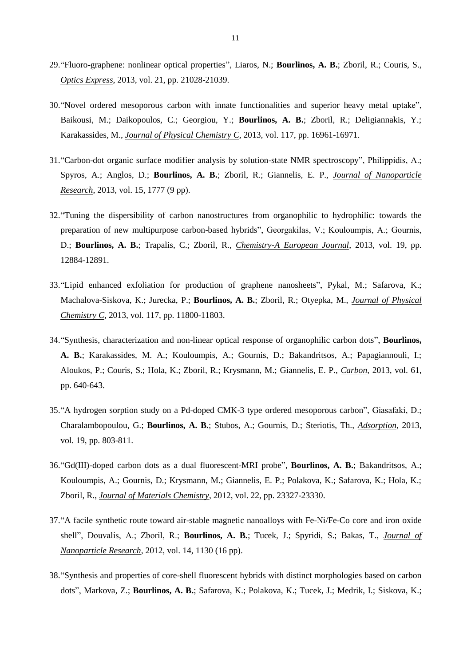- 29."Fluoro-graphene: nonlinear optical properties", Liaros, N.; **Bourlinos, A. B.**; Zboril, R.; Couris, S., *Optics Express*, 2013, vol. 21, pp. 21028-21039.
- 30."Novel ordered mesoporous carbon with innate functionalities and superior heavy metal uptake", Baikousi, M.; Daikopoulos, C.; Georgiou, Y.; **Bourlinos, A. B.**; Zboril, R.; Deligiannakis, Y.; Karakassides, M., *Journal of Physical Chemistry C*, 2013, vol. 117, pp. 16961-16971.
- 31."Carbon-dot organic surface modifier analysis by solution-state NMR spectroscopy", Philippidis, A.; Spyros, A.; Anglos, D.; **Bourlinos, A. B.**; Zboril, R.; Giannelis, E. P., *Journal of Nanoparticle Research*, 2013, vol. 15, 1777 (9 pp).
- 32."Tuning the dispersibility of carbon nanostructures from organophilic to hydrophilic: towards the preparation of new multipurpose carbon-based hybrids", Georgakilas, V.; Kouloumpis, A.; Gournis, D.; **Bourlinos, A. B.**; Trapalis, C.; Zboril, R., *Chemistry-A European Journal*, 2013, vol. 19, pp. 12884-12891.
- 33."Lipid enhanced exfoliation for production of graphene nanosheets", Pykal, M.; Safarova, K.; Machalova-Siskova, K.; Jurecka, P.; **Bourlinos, A. B.**; Zboril, R.; Otyepka, M., *Journal of Physical Chemistry C*, 2013, vol. 117, pp. 11800-11803.
- 34."Synthesis, characterization and non-linear optical response of organophilic carbon dots", **Bourlinos, A. B.**; Karakassides, M. A.; Kouloumpis, A.; Gournis, D.; Bakandritsos, A.; Papagiannouli, I.; Aloukos, P.; Couris, S.; Hola, K.; Zboril, R.; Krysmann, M.; Giannelis, E. P., *Carbon*, 2013, vol. 61, pp. 640-643.
- 35."A hydrogen sorption study on a Pd-doped CMK-3 type ordered mesoporous carbon", Giasafaki, D.; Charalambopoulou, G.; **Bourlinos, A. B.**; Stubos, A.; Gournis, D.; Steriotis, Th., *Adsorption*, 2013, vol. 19, pp. 803-811.
- 36."Gd(III)-doped carbon dots as a dual fluorescent-MRI probe", **Bourlinos, A. B.**; Bakandritsos, A.; Kouloumpis, A.; Gournis, D.; Krysmann, M.; Giannelis, E. P.; Polakova, K.; Safarova, K.; Hola, K.; Zboril, R., *Journal of Materials Chemistry*, 2012, vol. 22, pp. 23327-23330.
- 37."A facile synthetic route toward air-stable magnetic nanoalloys with Fe-Ni/Fe-Co core and iron oxide shell", Douvalis, A.; Zboril, R.; **Bourlinos, A. B.**; Tucek, J.; Spyridi, S.; Bakas, T., *Journal of Nanoparticle Research*, 2012, vol. 14, 1130 (16 pp).
- 38."Synthesis and properties of core-shell fluorescent hybrids with distinct morphologies based on carbon dots", Markova, Z.; **Bourlinos, A. B.**; Safarova, K.; Polakova, K.; Tucek, J.; Medrik, I.; Siskova, K.;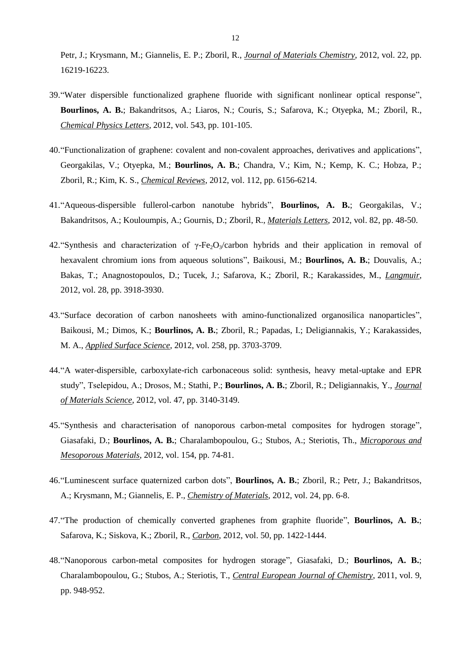Petr, J.; Krysmann, M.; Giannelis, E. P.; Zboril, R., *Journal of Materials Chemistry*, 2012, vol. 22, pp. 16219-16223.

- 39."Water dispersible functionalized graphene fluoride with significant nonlinear optical response", **Bourlinos, A. B.**; Bakandritsos, A.; Liaros, N.; Couris, S.; Safarova, K.; Otyepka, M.; Zboril, R., *Chemical Physics Letters*, 2012, vol. 543, pp. 101-105.
- 40."Functionalization of graphene: covalent and non-covalent approaches, derivatives and applications", Georgakilas, V.; Otyepka, M.; **Bourlinos, A. B.**; Chandra, V.; Kim, N.; Kemp, K. C.; Hobza, P.; Zboril, R.; Kim, K. S., *Chemical Reviews*, 2012, vol. 112, pp. 6156-6214.
- 41."Aqueous-dispersible fullerol-carbon nanotube hybrids", **Bourlinos, A. B.**; Georgakilas, V.; Bakandritsos, A.; Kouloumpis, A.; Gournis, D.; Zboril, R., *Materials Letters*, 2012, vol. 82, pp. 48-50.
- 42. "Synthesis and characterization of γ-Fe<sub>2</sub>O<sub>3</sub>/carbon hybrids and their application in removal of hexavalent chromium ions from aqueous solutions", Baikousi, M.; **Bourlinos, A. B.**; Douvalis, A.; Bakas, T.; Anagnostopoulos, D.; Tucek, J.; Safarova, K.; Zboril, R.; Karakassides, M., *Langmuir*, 2012, vol. 28, pp. 3918-3930.
- 43."Surface decoration of carbon nanosheets with amino-functionalized organosilica nanoparticles", Baikousi, M.; Dimos, K.; **Bourlinos, A. B.**; Zboril, R.; Papadas, I.; Deligiannakis, Y.; Karakassides, M. A., *Applied Surface Science*, 2012, vol. 258, pp. 3703-3709.
- 44."A water-dispersible, carboxylate-rich carbonaceous solid: synthesis, heavy metal-uptake and EPR study", Tselepidou, A.; Drosos, M.; Stathi, P.; **Bourlinos, A. B.**; Zboril, R.; Deligiannakis, Y., *Journal of Materials Science*, 2012, vol. 47, pp. 3140-3149.
- 45."Synthesis and characterisation of nanoporous carbon-metal composites for hydrogen storage", Giasafaki, D.; **Bourlinos, A. B.**; Charalambopoulou, G.; Stubos, A.; Steriotis, Th., *Microporous and Mesoporous Materials*, 2012, vol. 154, pp. 74-81.
- 46."Luminescent surface quaternized carbon dots", **Bourlinos, A. B.**; Zboril, R.; Petr, J.; Bakandritsos, A.; Krysmann, M.; Giannelis, E. P., *Chemistry of Materials*, 2012, vol. 24, pp. 6-8.
- 47."The production of chemically converted graphenes from graphite fluoride", **Bourlinos, A. B.**; Safarova, K.; Siskova, K.; Zboril, R., *Carbon*, 2012, vol. 50, pp. 1422-1444.
- 48."Nanoporous carbon-metal composites for hydrogen storage", Giasafaki, D.; **Bourlinos, A. B.**; Charalambopoulou, G.; Stubos, A.; Steriotis, T., *Central European Journal of Chemistry*, 2011, vol. 9, pp. 948-952.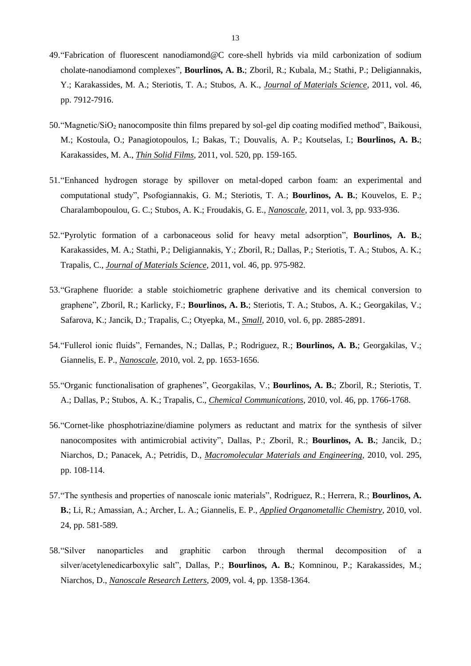- 49."Fabrication of fluorescent nanodiamond@C core-shell hybrids via mild carbonization of sodium cholate-nanodiamond complexes", **Bourlinos, A. B.**; Zboril, R.; Kubala, M.; Stathi, P.; Deligiannakis, Y.; Karakassides, M. A.; Steriotis, T. A.; Stubos, A. K., *Journal of Materials Science*, 2011, vol. 46, pp. 7912-7916.
- 50."Magnetic/SiO<sup>2</sup> nanocomposite thin films prepared by sol-gel dip coating modified method", Baikousi, M.; Kostoula, O.; Panagiotopoulos, I.; Bakas, T.; Douvalis, A. P.; Koutselas, I.; **Bourlinos, A. B.**; Karakassides, M. A., *Thin Solid Films*, 2011, vol. 520, pp. 159-165.
- 51."Enhanced hydrogen storage by spillover on metal-doped carbon foam: an experimental and computational study", Psofogiannakis, G. M.; Steriotis, T. A.; **Bourlinos, A. B.**; Kouvelos, E. P.; Charalambopoulou, G. C.; Stubos, A. K.; Froudakis, G. E., *Nanoscale*, 2011, vol. 3, pp. 933-936.
- 52."Pyrolytic formation of a carbonaceous solid for heavy metal adsorption", **Bourlinos, A. B.**; Karakassides, M. A.; Stathi, P.; Deligiannakis, Y.; Zboril, R.; Dallas, P.; Steriotis, T. A.; Stubos, A. K.; Trapalis, C., *Journal of Materials Science*, 2011, vol. 46, pp. 975-982.
- 53."Graphene fluoride: a stable stoichiometric graphene derivative and its chemical conversion to graphene", Zboril, R.; Karlicky, F.; **Bourlinos, A. B.**; Steriotis, T. A.; Stubos, A. K.; Georgakilas, V.; Safarova, K.; Jancik, D.; Trapalis, C.; Otyepka, M., *Small*, 2010, vol. 6, pp. 2885-2891.
- 54."Fullerol ionic fluids", Fernandes, N.; Dallas, P.; Rodriguez, R.; **Bourlinos, A. B.**; Georgakilas, V.; Giannelis, E. P., *Nanoscale*, 2010, vol. 2, pp. 1653-1656.
- 55."Organic functionalisation of graphenes", Georgakilas, V.; **Bourlinos, A. B.**; Zboril, R.; Steriotis, T. A.; Dallas, P.; Stubos, A. K.; Trapalis, C., *Chemical Communications*, 2010, vol. 46, pp. 1766-1768.
- 56."Cornet-like phosphotriazine/diamine polymers as reductant and matrix for the synthesis of silver nanocomposites with antimicrobial activity", Dallas, P.; Zboril, R.; **Bourlinos, A. B.**; Jancik, D.; Niarchos, D.; Panacek, A.; Petridis, D., *Macromolecular Materials and Engineering*, 2010, vol. 295, pp. 108-114.
- 57."The synthesis and properties of nanoscale ionic materials", Rodriguez, R.; Herrera, R.; **Bourlinos, A. B.**; Li, R.; Amassian, A.; Archer, L. A.; Giannelis, E. P., *Applied Organometallic Chemistry*, 2010, vol. 24, pp. 581-589.
- 58."Silver nanoparticles and graphitic carbon through thermal decomposition of a silver/acetylenedicarboxylic salt", Dallas, P.; **Bourlinos, A. B.**; Komninou, P.; Karakassides, M.; Niarchos, D., *Nanoscale Research Letters*, 2009, vol. 4, pp. 1358-1364.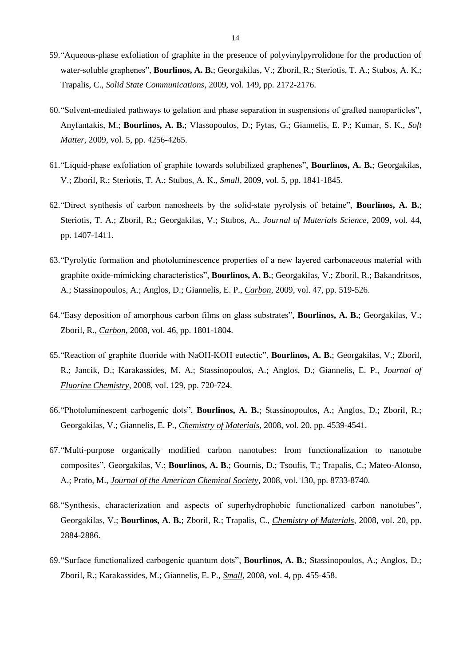- 59."Aqueous-phase exfoliation of graphite in the presence of polyvinylpyrrolidone for the production of water-soluble graphenes", **Bourlinos, A. B.**; Georgakilas, V.; Zboril, R.; Steriotis, T. A.; Stubos, A. K.; Trapalis, C., *Solid State Communications*, 2009, vol. 149, pp. 2172-2176.
- 60."Solvent-mediated pathways to gelation and phase separation in suspensions of grafted nanoparticles", Anyfantakis, M.; **Bourlinos, A. B.**; Vlassopoulos, D.; Fytas, G.; Giannelis, E. P.; Kumar, S. K., *Soft Matter*, 2009, vol. 5, pp. 4256-4265.
- 61."Liquid-phase exfoliation of graphite towards solubilized graphenes", **Bourlinos, A. B.**; Georgakilas, V.; Zboril, R.; Steriotis, T. A.; Stubos, A. K., *Small*, 2009, vol. 5, pp. 1841-1845.
- 62."Direct synthesis of carbon nanosheets by the solid-state pyrolysis of betaine", **Bourlinos, A. B.**; Steriotis, T. A.; Zboril, R.; Georgakilas, V.; Stubos, A., *Journal of Materials Science*, 2009, vol. 44, pp. 1407-1411.
- 63."Pyrolytic formation and photoluminescence properties of a new layered carbonaceous material with graphite oxide-mimicking characteristics", **Bourlinos, A. B.**; Georgakilas, V.; Zboril, R.; Bakandritsos, A.; Stassinopoulos, A.; Anglos, D.; Giannelis, E. P., *Carbon*, 2009, vol. 47, pp. 519-526.
- 64."Easy deposition of amorphous carbon films on glass substrates", **Bourlinos, A. B.**; Georgakilas, V.; Zboril, R., *Carbon*, 2008, vol. 46, pp. 1801-1804.
- 65."Reaction of graphite fluoride with NaOH-KOH eutectic", **Bourlinos, A. B.**; Georgakilas, V.; Zboril, R.; Jancik, D.; Karakassides, M. A.; Stassinopoulos, A.; Anglos, D.; Giannelis, E. P., *Journal of Fluorine Chemistry*, 2008, vol. 129, pp. 720-724.
- 66."Photoluminescent carbogenic dots", **Bourlinos, A. B.**; Stassinopoulos, A.; Anglos, D.; Zboril, R.; Georgakilas, V.; Giannelis, E. P., *Chemistry of Materials*, 2008, vol. 20, pp. 4539-4541.
- 67."Multi-purpose organically modified carbon nanotubes: from functionalization to nanotube composites", Georgakilas, V.; **Bourlinos, A. B.**; Gournis, D.; Tsoufis, T.; Trapalis, C.; Mateo-Alonso, A.; Prato, M., *Journal of the American Chemical Society*, 2008, vol. 130, pp. 8733-8740.
- 68."Synthesis, characterization and aspects of superhydrophobic functionalized carbon nanotubes", Georgakilas, V.; **Bourlinos, A. B.**; Zboril, R.; Trapalis, C., *Chemistry of Materials*, 2008, vol. 20, pp. 2884-2886.
- 69."Surface functionalized carbogenic quantum dots", **Bourlinos, A. B.**; Stassinopoulos, A.; Anglos, D.; Zboril, R.; Karakassides, M.; Giannelis, E. P., *Small*, 2008, vol. 4, pp. 455-458.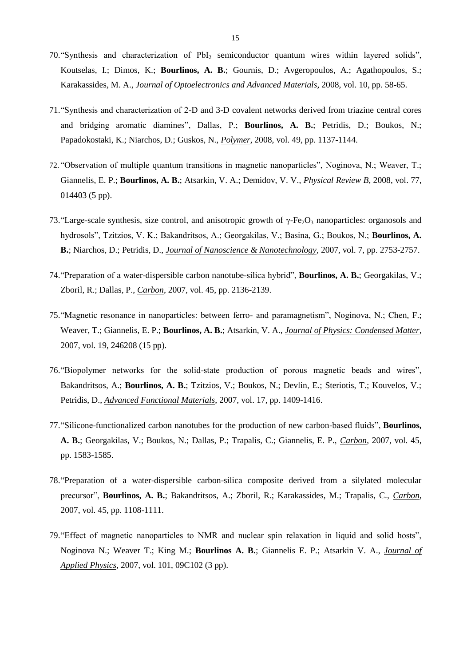- 70."Synthesis and characterization of PbI<sup>2</sup> semiconductor quantum wires within layered solids", Koutselas, I.; Dimos, K.; **Bourlinos, A. B.**; Gournis, D.; Avgeropoulos, A.; Agathopoulos, S.; Karakassides, M. A., *Journal of Optoelectronics and Advanced Materials*, 2008, vol. 10, pp. 58-65.
- 71."Synthesis and characterization of 2-D and 3-D covalent networks derived from triazine central cores and bridging aromatic diamines", Dallas, P.; **Bourlinos, A. B.**; Petridis, D.; Boukos, N.; Papadokostaki, K.; Niarchos, D.; Guskos, N., *Polymer*, 2008, vol. 49, pp. 1137-1144.
- 72. "Observation of multiple quantum transitions in magnetic nanoparticles", Noginova, N.; Weaver, T.; Giannelis, E. P.; **Bourlinos, A. B.**; Atsarkin, V. A.; Demidov, V. V., *Physical Review B*, 2008, vol. 77, 014403 (5 pp).
- 73. "Large-scale synthesis, size control, and anisotropic growth of  $\gamma$ -Fe<sub>2</sub>O<sub>3</sub> nanoparticles: organosols and hydrosols", Tzitzios, V. K.; Bakandritsos, A.; Georgakilas, V.; Basina, G.; Boukos, N.; **Bourlinos, A. B.**; Niarchos, D.; Petridis, D., *Journal of Nanoscience & Nanotechnology*, 2007, vol. 7, pp. 2753-2757.
- 74."Preparation of a water-dispersible carbon nanotube-silica hybrid", **Bourlinos, A. B.**; Georgakilas, V.; Zboril, R.; Dallas, P., *Carbon*, 2007, vol. 45, pp. 2136-2139.
- 75."Magnetic resonance in nanoparticles: between ferro- and paramagnetism", Noginova, N.; Chen, F.; Weaver, T.; Giannelis, E. P.; **Bourlinos, A. B.**; Atsarkin, V. A., *Journal of Physics: Condensed Matter*, 2007, vol. 19, 246208 (15 pp).
- 76."Biopolymer networks for the solid-state production of porous magnetic beads and wires", Bakandritsos, A.; **Bourlinos, A. B.**; Tzitzios, V.; Boukos, N.; Devlin, E.; Steriotis, T.; Kouvelos, V.; Petridis, D., *Advanced Functional Materials*, 2007, vol. 17, pp. 1409-1416.
- 77."Silicone-functionalized carbon nanotubes for the production of new carbon-based fluids", **Bourlinos, A. B.**; Georgakilas, V.; Boukos, N.; Dallas, P.; Trapalis, C.; Giannelis, E. P., *Carbon*, 2007, vol. 45, pp. 1583-1585.
- 78."Preparation of a water-dispersible carbon-silica composite derived from a silylated molecular precursor", **Bourlinos, A. B.**; Bakandritsos, A.; Zboril, R.; Karakassides, M.; Trapalis, C., *Carbon*, 2007, vol. 45, pp. 1108-1111.
- 79."Effect of magnetic nanoparticles to NMR and nuclear spin relaxation in liquid and solid hosts", Noginova N.; Weaver T.; King M.; **Bourlinos A. B.**; Giannelis E. P.; Atsarkin V. A., *Journal of Applied Physics*, 2007, vol. 101, 09C102 (3 pp).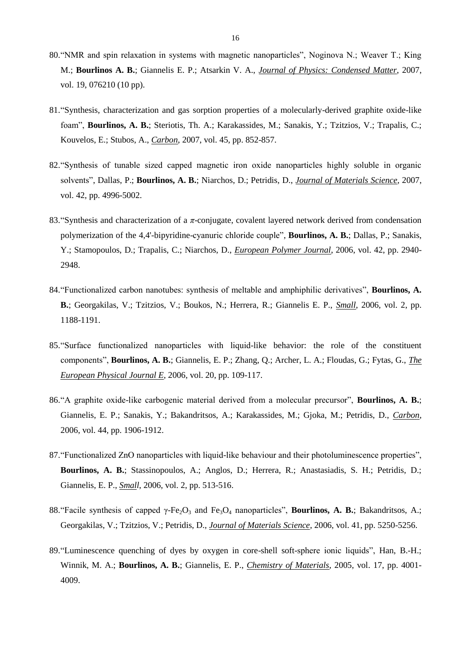- 80."NMR and spin relaxation in systems with magnetic nanoparticles", Noginova N.; Weaver T.; King M.; **Bourlinos A. B.**; Giannelis E. P.; Atsarkin V. A., *Journal of Physics: Condensed Matter*, 2007, vol. 19, 076210 (10 pp).
- 81."Synthesis, characterization and gas sorption properties of a molecularly-derived graphite oxide-like foam", **Bourlinos, A. B.**; Steriotis, Th. A.; Karakassides, M.; Sanakis, Y.; Tzitzios, V.; Trapalis, C.; Kouvelos, E.; Stubos, A., *Carbon*, 2007, vol. 45, pp. 852-857.
- 82."Synthesis of tunable sized capped magnetic iron oxide nanoparticles highly soluble in organic solvents", Dallas, P.; **Bourlinos, A. B.**; Niarchos, D.; Petridis, D., *Journal of Materials Science*, 2007, vol. 42, pp. 4996-5002.
- 83."Synthesis and characterization of a *π*-conjugate, covalent layered network derived from condensation polymerization of the 4,4'-bipyridine-cyanuric chloride couple", **Bourlinos, A. B.**; Dallas, P.; Sanakis, Y.; Stamopoulos, D.; Trapalis, C.; Niarchos, D., *European Polymer Journal*, 2006, vol. 42, pp. 2940- 2948.
- 84."Functionalized carbon nanotubes: synthesis of meltable and amphiphilic derivatives", **Bourlinos, A. B.**; Georgakilas, V.; Tzitzios, V.; Boukos, N.; Herrera, R.; Giannelis E. P., *Small*, 2006, vol. 2, pp. 1188-1191.
- 85."Surface functionalized nanoparticles with liquid-like behavior: the role of the constituent components", **Bourlinos, A. B.**; Giannelis, E. P.; Zhang, Q.; Archer, L. A.; Floudas, G.; Fytas, G., *The European Physical Journal E*, 2006, vol. 20, pp. 109-117.
- 86."A graphite oxide-like carbogenic material derived from a molecular precursor", **Bourlinos, A. B.**; Giannelis, E. P.; Sanakis, Y.; Bakandritsos, A.; Karakassides, M.; Gjoka, M.; Petridis, D., *Carbon*, 2006, vol. 44, pp. 1906-1912.
- 87."Functionalized ZnO nanoparticles with liquid-like behaviour and their photoluminescence properties", **Bourlinos, A. B.**; Stassinopoulos, A.; Anglos, D.; Herrera, R.; Anastasiadis, S. H.; Petridis, D.; Giannelis, E. P., *Small*, 2006, vol. 2, pp. 513-516.
- 88."Facile synthesis of capped γ-Fe2O<sup>3</sup> and Fe3O<sup>4</sup> nanoparticles", **Bourlinos, A. B.**; Bakandritsos, A.; Georgakilas, V.; Tzitzios, V.; Petridis, D., *Journal of Materials Science*, 2006, vol. 41, pp. 5250-5256.
- 89."Luminescence quenching of dyes by oxygen in core-shell soft-sphere ionic liquids", Han, B.-H.; Winnik, M. A.; **Bourlinos, A. B.**; Giannelis, E. P., *Chemistry of Materials*, 2005, vol. 17, pp. 4001- 4009.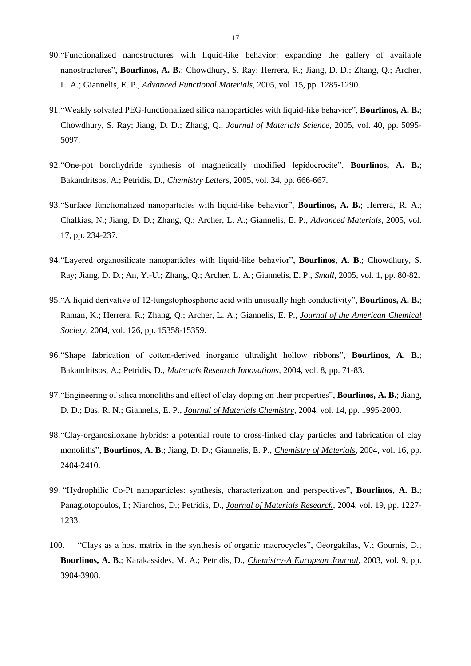- 90."Functionalized nanostructures with liquid-like behavior: expanding the gallery of available nanostructures", **Bourlinos, A. B.**; Chowdhury, S. Ray; Herrera, R.; Jiang, D. D.; Zhang, Q.; Archer, L. A.; Giannelis, E. P., *Advanced Functional Materials*, 2005, vol. 15, pp. 1285-1290.
- 91."Weakly solvated PEG-functionalized silica nanoparticles with liquid-like behavior", **Bourlinos, A. B.**; Chowdhury, S. Ray; Jiang, D. D.; Zhang, Q., *Journal of Materials Science*, 2005, vol. 40, pp. 5095- 5097.
- 92."One-pot borohydride synthesis of magnetically modified lepidocrocite", **Bourlinos, A. B.**; Bakandritsos, A.; Petridis, D., *Chemistry Letters*, 2005, vol. 34, pp. 666-667.
- 93."Surface functionalized nanoparticles with liquid-like behavior", **Bourlinos, A. B.**; Herrera, R. A.; Chalkias, N.; Jiang, D. D.; Zhang, Q.; Archer, L. A.; Giannelis, E. P., *Advanced Materials*, 2005, vol. 17, pp. 234-237.
- 94."Layered organosilicate nanoparticles with liquid-like behavior", **Bourlinos, A. B.**; Chowdhury, S. Ray; Jiang, D. D.; An, Y.-U.; Zhang, Q.; Archer, L. A.; Giannelis, E. P., *Small*, 2005, vol. 1, pp. 80-82.
- 95."A liquid derivative of 12-tungstophosphoric acid with unusually high conductivity", **Bourlinos, A. B.**; Raman, K.; Herrera, R.; Zhang, Q.; Archer, L. A.; Giannelis, E. P., *Journal of the American Chemical Society*, 2004, vol. 126, pp. 15358-15359.
- 96."Shape fabrication of cotton-derived inorganic ultralight hollow ribbons", **Bourlinos, A. B.**; Bakandritsos, A.; Petridis, D., *Materials Research Innovations*, 2004, vol. 8, pp. 71-83.
- 97."Engineering of silica monoliths and effect of clay doping on their properties", **Bourlinos, A. B.**; Jiang, D. D.; Das, R. N.; Giannelis, E. P., *Journal of Materials Chemistry*, 2004, vol. 14, pp. 1995-2000.
- 98."Clay-organosiloxane hybrids: a potential route to cross-linked clay particles and fabrication of clay monoliths"**, Bourlinos, A. B.**; Jiang, D. D.; Giannelis, E. P., *Chemistry of Materials*, 2004, vol. 16, pp. 2404-2410.
- 99. "Hydrophilic Co-Pt nanoparticles: synthesis, characterization and perspectives", **Bourlinos**, **A. B.**; Panagiotopoulos, I.; Niarchos, D.; Petridis, D., *Journal of Materials Research*, 2004, vol. 19, pp. 1227- 1233.
- 100. "Clays as a host matrix in the synthesis of organic macrocycles", Georgakilas, V.; Gournis, D.; **Bourlinos, A. B.**; Karakassides, M. A.; Petridis, D., *Chemistry-A European Journal*, 2003, vol. 9, pp. 3904-3908.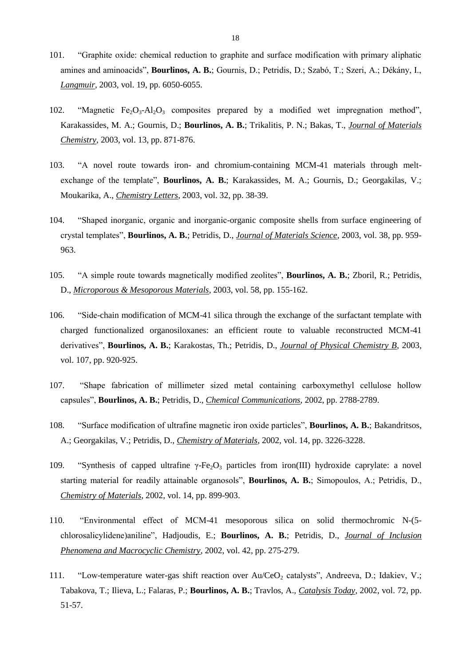- 101. "Graphite oxide: chemical reduction to graphite and surface modification with primary aliphatic amines and aminoacids", **Bourlinos, A. B.**; Gournis, D.; Petridis, D.; Szabó, T.; Szeri, A.; Dékány, I., *Langmuir*, 2003, vol. 19, pp. 6050-6055.
- 102. "Magnetic  $Fe<sub>2</sub>O<sub>3</sub>$ -Al<sub>2</sub>O<sub>3</sub> composites prepared by a modified wet impregnation method", Karakassides, M. A.; Gournis, D.; **Bourlinos, A. B.**; Trikalitis, P. N.; Bakas, T., *Journal of Materials Chemistry*, 2003, vol. 13, pp. 871-876.
- 103. "A novel route towards iron- and chromium-containing MCM-41 materials through meltexchange of the template", **Bourlinos, A. B.**; Karakassides, M. A.; Gournis, D.; Georgakilas, V.; Moukarika, A., *Chemistry Letters*, 2003, vol. 32, pp. 38-39.
- 104. "Shaped inorganic, organic and inorganic-organic composite shells from surface engineering of crystal templates", **Bourlinos, A. B.**; Petridis, D., *Journal of Materials Science*, 2003, vol. 38, pp. 959- 963.
- 105. "A simple route towards magnetically modified zeolites", **Bourlinos, A. B.**; Zboril, R.; Petridis, D., *Microporous & Mesoporous Materials*, 2003, vol. 58, pp. 155-162.
- 106. "Side-chain modification of MCM-41 silica through the exchange of the surfactant template with charged functionalized organosiloxanes: an efficient route to valuable reconstructed MCM-41 derivatives", **Bourlinos, A. B.**; Karakostas, Th.; Petridis, D., *Journal of Physical Chemistry B*, 2003, vol. 107, pp. 920-925.
- 107. "Shape fabrication of millimeter sized metal containing carboxymethyl cellulose hollow capsules", **Bourlinos, A. B.**; Petridis, D., *Chemical Communications*, 2002, pp. 2788-2789.
- 108. "Surface modification of ultrafine magnetic iron oxide particles", **Bourlinos, A. B.**; Bakandritsos, A.; Georgakilas, V.; Petridis, D., *Chemistry of Materials*, 2002, vol. 14, pp. 3226-3228.
- 109. "Synthesis of capped ultrafine γ-Fe<sub>2</sub>O<sub>3</sub> particles from iron(III) hydroxide caprylate: a novel starting material for readily attainable organosols", **Bourlinos, A. B.**; Simopoulos, Α.; Petridis, D., *Chemistry of Materials*, 2002, vol. 14, pp. 899-903.
- 110. "Environmental effect of MCM-41 mesoporous silica on solid thermochromic N-(5 chlorosalicylidene)aniline", Hadjoudis, E.; **Bourlinos, A. B.**; Petridis, D., *Journal of Inclusion Phenomena and Macrocyclic Chemistry*, 2002, vol. 42, pp. 275-279.
- 111. "Low-temperature water-gas shift reaction over Au/CeO<sub>2</sub> catalysts", Andreeva, D.; Idakiev, V.; Tabakova, T.; Ilieva, L.; Falaras, P.; **Bourlinos, A. B.**; Travlos, A., *Catalysis Today*, 2002, vol. 72, pp. 51-57.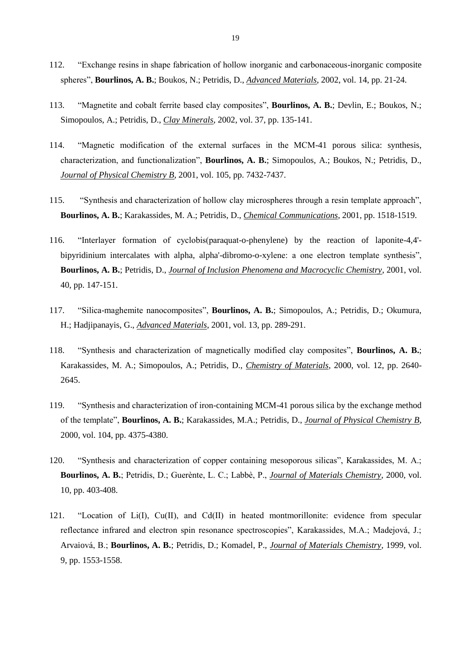- 112. "Exchange resins in shape fabrication of hollow inorganic and carbonaceous-inorganic composite spheres", **Bourlinos, A. B.**; Boukos, N.; Petridis, D., *Advanced Materials*, 2002, vol. 14, pp. 21-24.
- 113. "Magnetite and cobalt ferrite based clay composites", **Bourlinos, A. B.**; Devlin, E.; Boukos, N.; Simopoulos, A.; Petridis, D., *Clay Minerals*, 2002, vol. 37, pp. 135-141.
- 114. "Magnetic modification of the external surfaces in the MCM-41 porous silica: synthesis, characterization, and functionalization", **Bourlinos, A. B.**; Simopoulos, A.; Boukos, N.; Petridis, D., *Journal of Physical Chemistry B*, 2001, vol. 105, pp. 7432-7437.
- 115. "Synthesis and characterization of hollow clay microspheres through a resin template approach", **Bourlinos, A. B.**; Karakassides, M. A.; Petridis, D., *Chemical Communications*, 2001, pp. 1518-1519.
- 116. "Interlayer formation of cyclobis(paraquat-o-phenylene) by the reaction of laponite-4,4' bipyridinium intercalates with alpha, alpha'-dibromo-o-xylene: a one electron template synthesis", **Bourlinos, A. B.**; Petridis, D., *Journal of Inclusion Phenomena and Macrocyclic Chemistry*, 2001, vol. 40, pp. 147-151.
- 117. "Silica-maghemite nanocomposites", **Bourlinos, A. B.**; Simopoulos, A.; Petridis, D.; Okumura, H.; Hadjipanayis, G., *Advanced Materials*, 2001, vol. 13, pp. 289-291.
- 118. "Synthesis and characterization of magnetically modified clay composites", **Bourlinos, A. B.**; Karakassides, M. A.; Simopoulos, A.; Petridis, D., *Chemistry of Materials*, 2000, vol. 12, pp. 2640- 2645.
- 119. "Synthesis and characterization of iron-containing MCM-41 porous silica by the exchange method of the template", **Bourlinos, A. B.**; Karakassides, M.A.; Petridis, D., *Journal of Physical Chemistry B*, 2000, vol. 104, pp. 4375-4380.
- 120. "Synthesis and characterization of copper containing mesoporous silicas", Karakassides, M. A.; **Bourlinos, A. B.**; Petridis, D.; Guerènte, L. C.; Labbè, P., *Journal of Materials Chemistry*, 2000, vol. 10, pp. 403-408.
- 121. "Location of Li(I), Cu(II), and Cd(II) in heated montmorillonite: evidence from specular reflectance infrared and electron spin resonance spectroscopies", Karakassides, M.A.; Madejová, J.; Arvaiová, B.; **Bourlinos, A. B.**; Petridis, D.; Komadel, P., *Journal of Materials Chemistry*, 1999, vol. 9, pp. 1553-1558.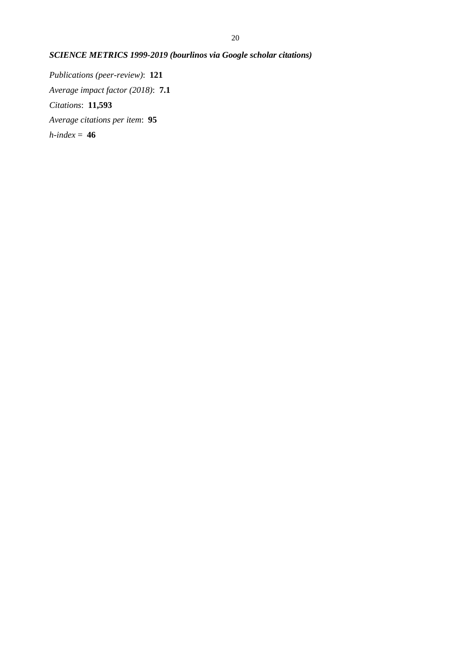# *SCIENCE METRICS 1999-2019 (bourlinos via Google scholar citations)*

*Publications (peer-review)*: **121** *Average impact factor (2018)*: **7.1** *Citations*: **11,593** *Average citations per item*: **95** *h-index* = **46**